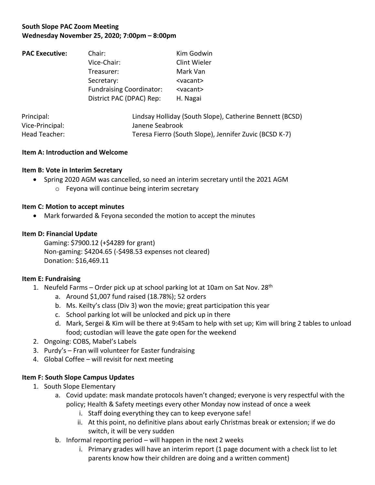# **South Slope PAC Zoom Meeting Wednesday November 25, 2020; 7:00pm – 8:00pm**

| <b>PAC Executive:</b> | Chair:                          | Kim Godwin                                              |
|-----------------------|---------------------------------|---------------------------------------------------------|
|                       | Vice-Chair:                     | Clint Wieler                                            |
|                       | Treasurer:                      | Mark Van                                                |
|                       | Secretary:                      | <vacant></vacant>                                       |
|                       | <b>Fundraising Coordinator:</b> | <vacant></vacant>                                       |
|                       | District PAC (DPAC) Rep:        | H. Nagai                                                |
|                       |                                 |                                                         |
| Drincinal:            |                                 | Lindcay Holliday (Couth Clono), Cathorina Donnett (DCCI |

| Principal:      | Lindsay Holliday (South Slope), Catherine Bennett (BCSD) |
|-----------------|----------------------------------------------------------|
| Vice-Principal: | Janene Seabrook                                          |
| Head Teacher:   | Teresa Fierro (South Slope), Jennifer Zuvic (BCSD K-7)   |

### **Item A: Introduction and Welcome**

## **Item B: Vote in Interim Secretary**

- Spring 2020 AGM was cancelled, so need an interim secretary until the 2021 AGM
	- o Feyona will continue being interim secretary

## **Item C: Motion to accept minutes**

• Mark forwarded & Feyona seconded the motion to accept the minutes

## **Item D: Financial Update**

Gaming: \$7900.12 (+\$4289 for grant) Non-gaming: \$4204.65 (-\$498.53 expenses not cleared) Donation: \$16,469.11

## **Item E: Fundraising**

- 1. Neufeld Farms Order pick up at school parking lot at 10am on Sat Nov.  $28<sup>th</sup>$ 
	- a. Around \$1,007 fund raised (18.78%); 52 orders
	- b. Ms. Keilty's class (Div 3) won the movie; great participation this year
	- c. School parking lot will be unlocked and pick up in there
	- d. Mark, Sergei & Kim will be there at 9:45am to help with set up; Kim will bring 2 tables to unload food; custodian will leave the gate open for the weekend
- 2. Ongoing: COBS, Mabel's Labels
- 3. Purdy's Fran will volunteer for Easter fundraising
- 4. Global Coffee will revisit for next meeting

## **Item F: South Slope Campus Updates**

- 1. South Slope Elementary
	- a. Covid update: mask mandate protocols haven't changed; everyone is very respectful with the policy; Health & Safety meetings every other Monday now instead of once a week
		- i. Staff doing everything they can to keep everyone safe!
		- ii. At this point, no definitive plans about early Christmas break or extension; if we do switch, it will be very sudden
	- b. Informal reporting period will happen in the next 2 weeks
		- i. Primary grades will have an interim report (1 page document with a check list to let parents know how their children are doing and a written comment)